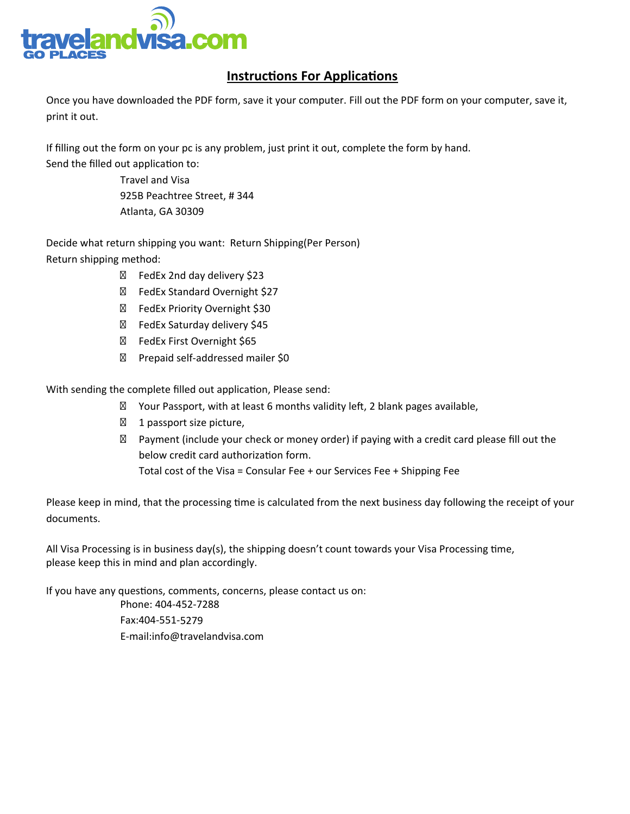

## **Instructions For Applications**

Once you have downloaded the PDF form, save it your computer. Fill out the PDF form on your computer, save it, print it out.

If filling out the form on your pc is any problem, just print it out, complete the form by hand. Send the filled out application to:

> Travel and Visa 925B Peachtree Street, # 344 Atlanta, GA 30309

Decide what return shipping you want: Return Shipping(Per Person) Return shipping method:

> FedEx 2nd day delivery \$23 FedEx Standard Overnight \$27 FedEx Priority Overnight \$30 FedEx Saturday delivery \$45 FedEx First Overnight \$65 Prepaid self-addressed mailer \$0

With sending the complete filled out application, Please send:

Your Passport, with at least 6 months validity left, 2 blank pages available, 1 passport size picture, Payment (include your check or money order) if paying with a credit card please fill out the below credit card authorization form. Total cost of the Visa = Consular Fee + our Services Fee + Shipping Fee

Please keep in mind, that the processing time is calculated from the next business day following the receipt of your documents.

All Visa Processing is in business day(s), the shipping doesn't count towards your Visa Processing time, please keep this in mind and plan accordingly.

If you have any questions, comments, concerns, please contact us on: Phone: 404-452-7288 Fax:404-551-5279 E-mail:info@travelandvisa.com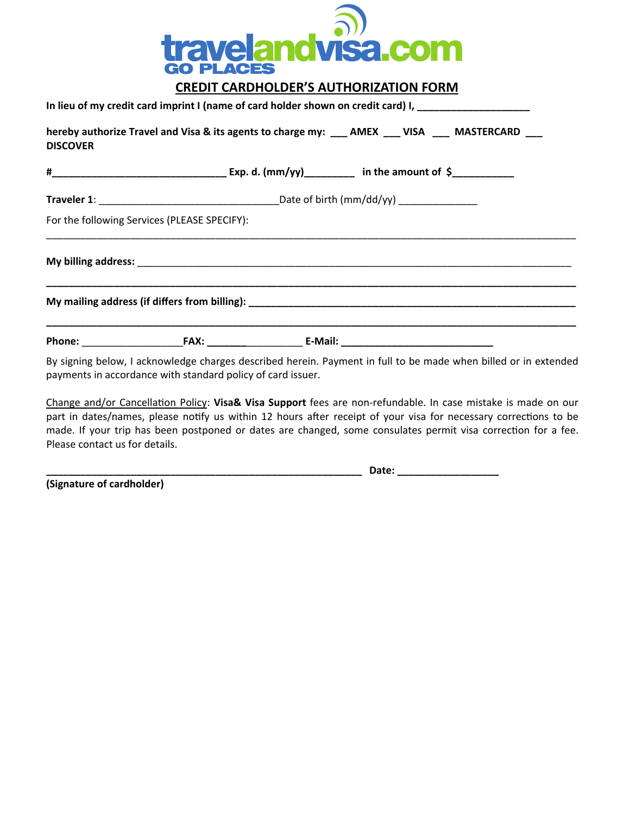

## **CREDIT CARDHOLDER'S AUTHORIZATION FORM**

|                 | In lieu of my credit card imprint I (name of card holder shown on credit card) I, __________________                                                                           |  |  |  |
|-----------------|--------------------------------------------------------------------------------------------------------------------------------------------------------------------------------|--|--|--|
| <b>DISCOVER</b> | hereby authorize Travel and Visa & its agents to charge my: __ AMEX __ VISA __ MASTERCARD __                                                                                   |  |  |  |
|                 |                                                                                                                                                                                |  |  |  |
|                 |                                                                                                                                                                                |  |  |  |
|                 | For the following Services (PLEASE SPECIFY):                                                                                                                                   |  |  |  |
|                 |                                                                                                                                                                                |  |  |  |
|                 |                                                                                                                                                                                |  |  |  |
|                 |                                                                                                                                                                                |  |  |  |
|                 | By signing below, I acknowledge charges described herein. Payment in full to be made when billed or in extended<br>payments in accordance with standard policy of card issuer. |  |  |  |

Change and/or Cancellation Policy: **Visa& Visa Support** fees are non-refundable. In case mistake is made on our part in dates/names, please notify us within 12 hours after receipt of your visa for necessary corrections to be made. If your trip has been postponed or dates are changed, some consulates permit visa correction for a fee. Please contact us for details.

**\_\_\_\_\_\_\_\_\_\_\_\_\_\_\_\_\_\_\_\_\_\_\_\_\_\_\_\_\_\_\_\_\_\_\_\_\_\_\_\_\_\_\_\_\_\_\_\_\_\_\_\_\_\_\_\_ Date: \_\_\_\_\_\_\_\_\_\_\_\_\_\_\_\_\_\_**

**(Signature of cardholder)**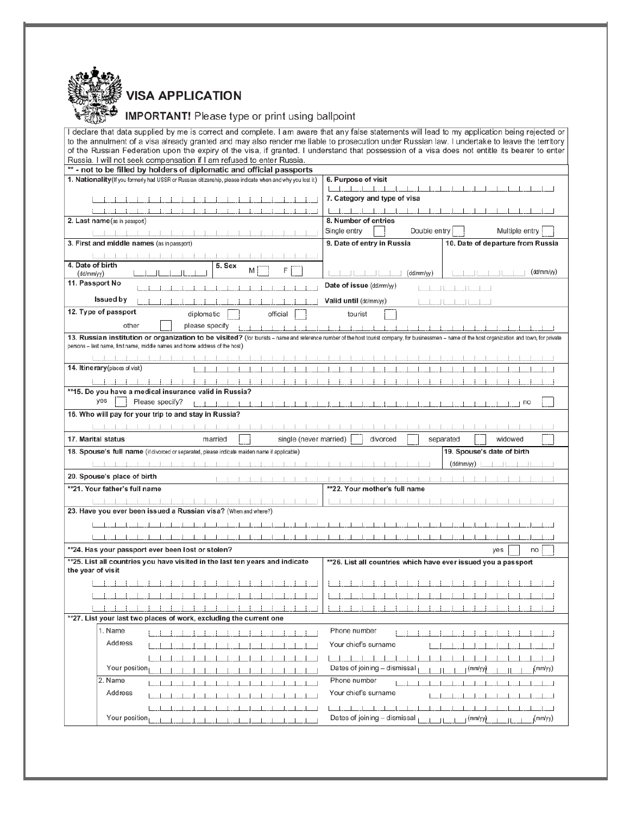

## **VISA APPLICATION**

## **IMPORTANT!** Please type or print using ballpoint

| I declare that data supplied by me is correct and complete. I am aware that any false statements will lead to my application being rejected or                                                     |                                                                 |
|----------------------------------------------------------------------------------------------------------------------------------------------------------------------------------------------------|-----------------------------------------------------------------|
| to the annulment of a visa already granted and may also render me liable to prosecution under Russian law. I undertake to leave the territory                                                      |                                                                 |
| of the Russian Federation upon the expiry of the visa, if granted. I understand that possession of a visa does not entitle its bearer to enter                                                     |                                                                 |
| Russia. I will not seek compensation if I am refused to enter Russia.<br>** - not to be filled by holders of diplomatic and official passports                                                     |                                                                 |
| 1. Nationality (If you formerly had USSR or Russian citizenship, please indicate when and why you lost it)                                                                                         | 6. Purpose of visit                                             |
|                                                                                                                                                                                                    | كالمناصلات المناصلات المتألف المناصلات المناصلات                |
|                                                                                                                                                                                                    | 7. Category and type of visa                                    |
|                                                                                                                                                                                                    | المحاجب المحاجب المسا<br>.                                      |
| 2. Last name (as in passport)                                                                                                                                                                      | 8. Number of entries                                            |
|                                                                                                                                                                                                    | Single entry<br>Double entry<br>Multiple entry                  |
| 3. First and middle names (as in passport)                                                                                                                                                         | 9. Date of entry in Russia<br>10. Date of departure from Russia |
|                                                                                                                                                                                                    |                                                                 |
| 4. Date of birth<br>5. Sex                                                                                                                                                                         |                                                                 |
| F<br>M<br>(dd/mm/yy)                                                                                                                                                                               | (dd/mm/vy)<br>(dd/mm/yy)                                        |
| 11. Passport No                                                                                                                                                                                    | Date of issue (dd/mm/yy)<br>للسالسات                            |
| Issued by                                                                                                                                                                                          | Valid until (dd/mm/yy)                                          |
| 12. Type of passport<br>diplomatic<br>official                                                                                                                                                     | tourist                                                         |
| other<br>please specify                                                                                                                                                                            |                                                                 |
| 13. Russian institution or organization to be visited? (for burists - name and reference number of the host tourist company, for businessmen - name of the host organization and town, for private |                                                                 |
| persons - last name, first name, middle names and home address of the host)                                                                                                                        |                                                                 |
|                                                                                                                                                                                                    |                                                                 |
| 14. Itine rary (places of visit)                                                                                                                                                                   |                                                                 |
|                                                                                                                                                                                                    |                                                                 |
| **15. Do you have a medical insurance valid in Russia?                                                                                                                                             |                                                                 |
| yes<br>Please specify?                                                                                                                                                                             | $\perp$ no                                                      |
| $\sim$ 1 $\sim$ 1 $\sim$ 1<br>16. Who will pay for your trip to and stay in Russia?                                                                                                                |                                                                 |
|                                                                                                                                                                                                    |                                                                 |
| $-1 - 1 - 1$                                                                                                                                                                                       |                                                                 |
| 17. Marital status<br>single (never married)<br>married                                                                                                                                            | divorced<br>widowed<br>separated                                |
| 18. Spouse's full name (if divorced or separated, please indicate maiden name if applicable)                                                                                                       | 19. Spouse's date of birth                                      |
|                                                                                                                                                                                                    | (dd/mm/yy)                                                      |
| 20. Spouse's place of birth                                                                                                                                                                        |                                                                 |
| **21. Your father's full name                                                                                                                                                                      | **22. Your mother's full name                                   |
|                                                                                                                                                                                                    |                                                                 |
| 23. Have you ever been issued a Russian visa? (When and where?)                                                                                                                                    |                                                                 |
|                                                                                                                                                                                                    |                                                                 |
|                                                                                                                                                                                                    |                                                                 |
| <u> 1919 - Isabel Store i Store i Store i Store i Store i Store i Store i Store i Store i Store i Store i Store i</u><br>$\overline{1}$                                                            |                                                                 |
| **24. Has your passport ever been lost or stolen?                                                                                                                                                  | yes<br>no                                                       |
| **25. List all countries you have visited in the last ten years and indicate<br>the year of visit                                                                                                  | **26. List all countries which have ever issued you a passport  |
| .<br>and the state of the state<br>$-1$ $-1$ $-1$ $-1$                                                                                                                                             | - 11<br>.<br>and the first<br>.                                 |
|                                                                                                                                                                                                    | -1                                                              |
|                                                                                                                                                                                                    |                                                                 |
| **27. List your last two places of work, excluding the current one                                                                                                                                 |                                                                 |
| 1. Name                                                                                                                                                                                            | Phone number                                                    |
| - 1<br>- 1                                                                                                                                                                                         | - 1                                                             |
| Address                                                                                                                                                                                            | Your chief's surname                                            |
|                                                                                                                                                                                                    | $-1$ $-1$ $-1$                                                  |
| Your position                                                                                                                                                                                      | Dates of joining - dismissal<br><sub>I</sub> (mm/yy)<br>(mm/yy) |
| 2. Name                                                                                                                                                                                            | Phone number                                                    |
|                                                                                                                                                                                                    |                                                                 |
| Address                                                                                                                                                                                            | Your chief's surname                                            |
|                                                                                                                                                                                                    | .                                                               |